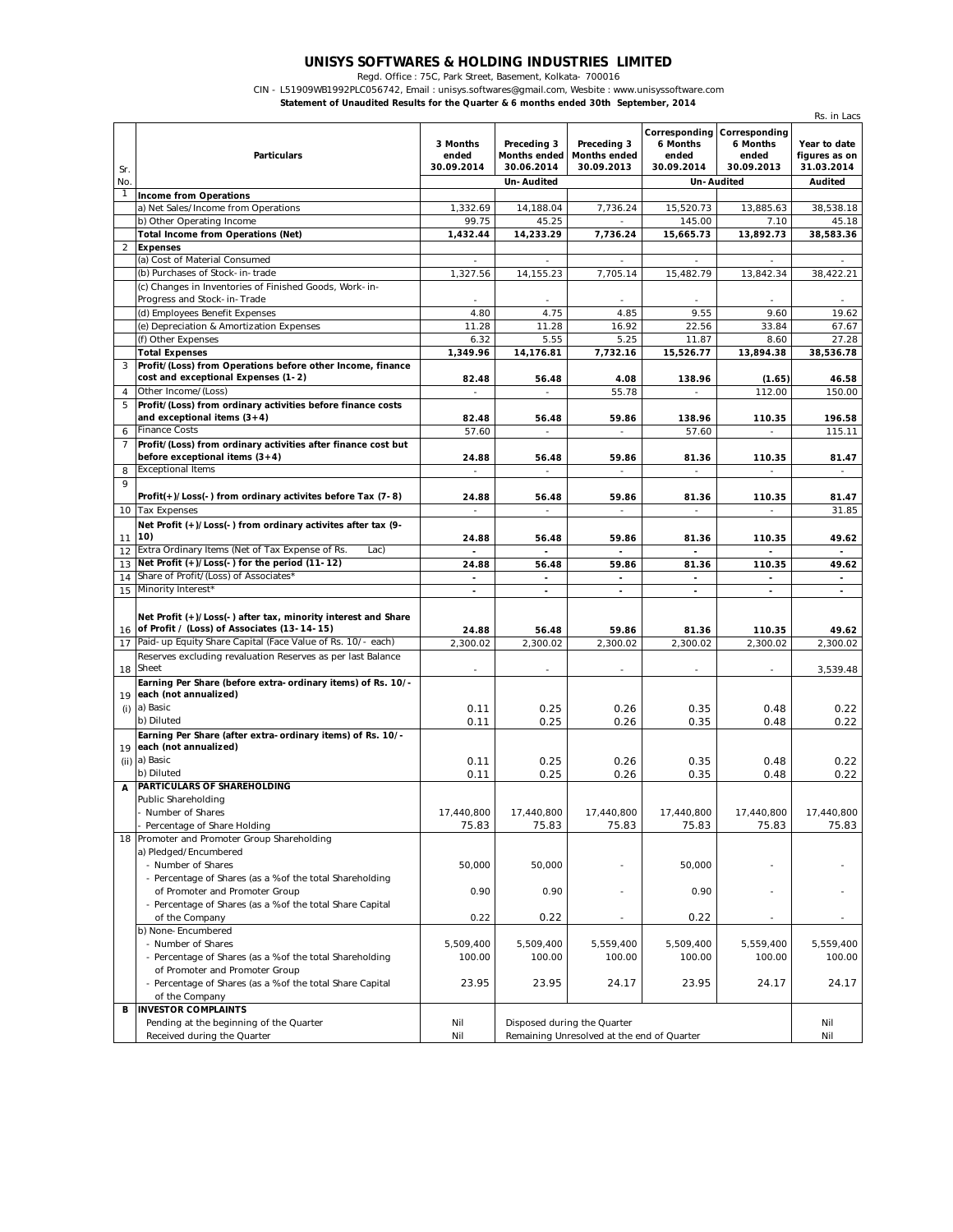## **UNISYS SOFTWARES & HOLDING INDUSTRIES LIMITED**

Regd. Office : 75C, Park Street, Basement, Kolkata- 700016

CIN - L51909WB1992PLC056742, Email : unisys.softwares@gmail.com, Wesbite : www.unisyssoftware.com

**Statement of Unaudited Results for the Quarter & 6 months ended 30th September, 2014**

|                |                                                                                                                 |                                 |                                                  |                                           |                                                  |                                                  | Rs. in Lacs                                 |
|----------------|-----------------------------------------------------------------------------------------------------------------|---------------------------------|--------------------------------------------------|-------------------------------------------|--------------------------------------------------|--------------------------------------------------|---------------------------------------------|
|                | <b>Particulars</b>                                                                                              | 3 Months<br>ended<br>30.09.2014 | Preceding 3<br><b>Months ended</b><br>30.06.2014 | Preceding 3<br>Months ended<br>30.09.2013 | Corresponding<br>6 Months<br>ended<br>30.09.2014 | Corresponding<br>6 Months<br>ended<br>30.09.2013 | Year to date<br>figures as on<br>31.03.2014 |
| Sr.<br>No.     |                                                                                                                 |                                 | Un-Audited                                       |                                           |                                                  | Un-Audited                                       | <b>Audited</b>                              |
| $\mathbf{1}$   | <b>Income from Operations</b>                                                                                   |                                 |                                                  |                                           |                                                  |                                                  |                                             |
|                | a) Net Sales/Income from Operations                                                                             | 1,332.69                        | 14,188.04                                        | 7,736.24                                  | 15,520.73                                        | 13,885.63                                        | 38,538.18                                   |
|                | b) Other Operating Income                                                                                       | 99.75                           | 45.25                                            |                                           | 145.00                                           | 7.10                                             | 45.18                                       |
|                | <b>Total Income from Operations (Net)</b>                                                                       | 1,432.44                        | 14,233.29                                        | 7,736.24                                  | 15,665.73                                        | 13,892.73                                        | 38,583.36                                   |
| $\overline{a}$ | <b>Expenses</b>                                                                                                 |                                 |                                                  |                                           |                                                  |                                                  |                                             |
|                | (a) Cost of Material Consumed                                                                                   |                                 |                                                  |                                           |                                                  |                                                  |                                             |
|                | (b) Purchases of Stock-in-trade                                                                                 | 1,327.56                        | 14,155.23                                        | 7,705.14                                  | 15,482.79                                        | 13,842.34                                        | 38,422.21                                   |
|                | (c) Changes in Inventories of Finished Goods, Work-in-<br>Progress and Stock-in-Trade                           |                                 |                                                  |                                           | $\overline{\phantom{a}}$                         |                                                  |                                             |
|                | (d) Employees Benefit Expenses                                                                                  | 4.80                            | 4.75                                             | 4.85                                      | 9.55                                             | 9.60                                             | 19.62                                       |
|                | (e) Depreciation & Amortization Expenses                                                                        | 11.28                           | 11.28                                            | 16.92                                     | 22.56                                            | 33.84                                            | 67.67                                       |
|                | (f) Other Expenses                                                                                              | 6.32                            | 5.55                                             | 5.25                                      | 11.87                                            | 8.60                                             | 27.28                                       |
|                | <b>Total Expenses</b>                                                                                           | 1,349.96                        | 14,176.81                                        | 7,732.16                                  | 15,526.77                                        | 13,894.38                                        | 38,536.78                                   |
| 3              | Profit/(Loss) from Operations before other Income, finance<br>cost and exceptional Expenses (1-2)               | 82.48                           | 56.48                                            | 4.08                                      | 138.96                                           | (1.65)                                           | 46.58                                       |
| 4              | Other Income/(Loss)                                                                                             | $\overline{\phantom{a}}$        | $\overline{\phantom{a}}$                         | 55.78                                     | $\overline{\phantom{a}}$                         | 112.00                                           | 150.00                                      |
| 5              | Profit/(Loss) from ordinary activities before finance costs<br>and exceptional items $(3+4)$                    | 82.48                           | 56.48                                            | 59.86                                     | 138.96                                           | 110.35                                           | 196.58                                      |
| 6              | <b>Finance Costs</b>                                                                                            | 57.60                           | ٠                                                | $\overline{\phantom{a}}$                  | 57.60                                            | $\overline{\phantom{a}}$                         | 115.11                                      |
| 7              | Profit/(Loss) from ordinary activities after finance cost but<br>before exceptional items $(3+4)$               | 24.88                           | 56.48                                            | 59.86                                     | 81.36                                            | 110.35                                           | 81.47                                       |
| 8              | <b>Exceptional Items</b>                                                                                        |                                 | $\overline{\phantom{a}}$                         | $\qquad \qquad -$                         |                                                  |                                                  | $\overline{\phantom{a}}$                    |
| 9              | Profit(+)/Loss(-) from ordinary activites before Tax (7-8)                                                      | 24.88                           | 56.48                                            | 59.86                                     | 81.36                                            | 110.35                                           | 81.47                                       |
|                | 10 Tax Expenses                                                                                                 | $\overline{\phantom{a}}$        | $\overline{\phantom{a}}$                         | $\overline{\phantom{a}}$                  | $\overline{\phantom{a}}$                         | $\overline{\phantom{a}}$                         | 31.85                                       |
| 11             | Net Profit (+)/Loss(-) from ordinary activites after tax (9-<br>10)                                             | 24.88                           | 56.48                                            | 59.86                                     | 81.36                                            | 110.35                                           | 49.62                                       |
| 12             | Extra Ordinary Items (Net of Tax Expense of Rs.<br>Lac)                                                         |                                 |                                                  |                                           |                                                  |                                                  |                                             |
|                | 13 Net Profit (+)/Loss(-) for the period (11-12)                                                                | 24.88                           | 56.48                                            | 59.86                                     | 81.36                                            | 110.35                                           | 49.62                                       |
| 14             | Share of Profit/(Loss) of Associates*                                                                           | $\blacksquare$                  | $\blacksquare$                                   | ÷,                                        | $\blacksquare$                                   | $\blacksquare$                                   | $\frac{1}{2}$                               |
| 15             | Minority Interest*                                                                                              | $\overline{\phantom{a}}$        | $\sim$                                           | $\overline{\phantom{a}}$                  | $\overline{\phantom{a}}$                         | $\overline{\phantom{a}}$                         | $\overline{\phantom{a}}$                    |
|                | Net Profit (+)/Loss(-) after tax, minority interest and Share<br>16 of Profit / (Loss) of Associates (13-14-15) |                                 |                                                  |                                           |                                                  |                                                  |                                             |
| 17             | Paid-up Equity Share Capital (Face Value of Rs. 10/- each)                                                      | 24.88<br>2,300.02               | 56.48<br>2,300.02                                | 59.86<br>2,300.02                         | 81.36<br>2,300.02                                | 110.35<br>2,300.02                               | 49.62<br>2,300.02                           |
|                | Reserves excluding revaluation Reserves as per last Balance                                                     |                                 |                                                  |                                           |                                                  |                                                  |                                             |
| 18             | Sheet                                                                                                           |                                 |                                                  |                                           | $\overline{a}$                                   |                                                  | 3,539.48                                    |
|                | Earning Per Share (before extra-ordinary items) of Rs. 10/-                                                     |                                 |                                                  |                                           |                                                  |                                                  |                                             |
| 19             | each (not annualized)                                                                                           |                                 |                                                  |                                           |                                                  |                                                  |                                             |
| (i)            | a) Basic                                                                                                        | 0.11                            | 0.25                                             | 0.26                                      | 0.35                                             | 0.48                                             | 0.22                                        |
|                | b) Diluted                                                                                                      | 0.11                            | 0.25                                             | 0.26                                      | 0.35                                             | 0.48                                             | 0.22                                        |
|                | Earning Per Share (after extra-ordinary items) of Rs. 10/-                                                      |                                 |                                                  |                                           |                                                  |                                                  |                                             |
| 19             | each (not annualized)                                                                                           |                                 |                                                  |                                           |                                                  |                                                  |                                             |
|                | (ii) a) Basic                                                                                                   | 0.11                            | 0.25                                             | 0.26                                      | 0.35                                             | 0.48                                             | 0.22                                        |
| A              | b) Diluted<br>PARTICULARS OF SHAREHOLDING                                                                       | 0.11                            | 0.25                                             | 0.26                                      | 0.35                                             | 0.48                                             | 0.22                                        |
|                | Public Shareholding                                                                                             |                                 |                                                  |                                           |                                                  |                                                  |                                             |
|                | - Number of Shares                                                                                              | 17,440,800                      | 17,440,800                                       | 17,440,800                                | 17,440,800                                       | 17,440,800                                       | 17,440,800                                  |
|                | - Percentage of Share Holding                                                                                   | 75.83                           | 75.83                                            | 75.83                                     | 75.83                                            | 75.83                                            | 75.83                                       |
|                | 18 Promoter and Promoter Group Shareholding                                                                     |                                 |                                                  |                                           |                                                  |                                                  |                                             |
|                | a) Pledged/Encumbered                                                                                           |                                 |                                                  |                                           |                                                  |                                                  |                                             |
|                | - Number of Shares                                                                                              | 50,000                          | 50,000                                           |                                           | 50,000                                           | $\overline{a}$                                   |                                             |
|                | - Percentage of Shares (as a % of the total Shareholding                                                        |                                 |                                                  |                                           |                                                  |                                                  |                                             |
|                | of Promoter and Promoter Group                                                                                  | 0.90                            | 0.90                                             | $\overline{\phantom{m}}$                  | 0.90                                             | $\overline{\phantom{a}}$                         |                                             |
|                | - Percentage of Shares (as a % of the total Share Capital                                                       |                                 |                                                  |                                           |                                                  |                                                  |                                             |
|                | of the Company                                                                                                  | 0.22                            | 0.22                                             |                                           | 0.22                                             |                                                  |                                             |
|                | b) None-Encumbered                                                                                              |                                 |                                                  |                                           | 5,509,400                                        |                                                  |                                             |
|                | - Number of Shares                                                                                              | 5,509,400<br>100.00             | 5,509,400<br>100.00                              | 5,559,400<br>100.00                       | 100.00                                           | 5,559,400<br>100.00                              | 5,559,400<br>100.00                         |
|                | - Percentage of Shares (as a % of the total Shareholding<br>of Promoter and Promoter Group                      |                                 |                                                  |                                           |                                                  |                                                  |                                             |
|                | - Percentage of Shares (as a % of the total Share Capital                                                       | 23.95                           | 23.95                                            | 24.17                                     | 23.95                                            | 24.17                                            | 24.17                                       |
| В              | of the Company<br><b>INVESTOR COMPLAINTS</b>                                                                    |                                 |                                                  |                                           |                                                  |                                                  |                                             |
|                | Pending at the beginning of the Quarter                                                                         | Nil                             |                                                  | Disposed during the Quarter               |                                                  |                                                  | Nil                                         |
|                | Received during the Quarter                                                                                     | Nil                             | Remaining Unresolved at the end of Quarter       |                                           |                                                  | Nil                                              |                                             |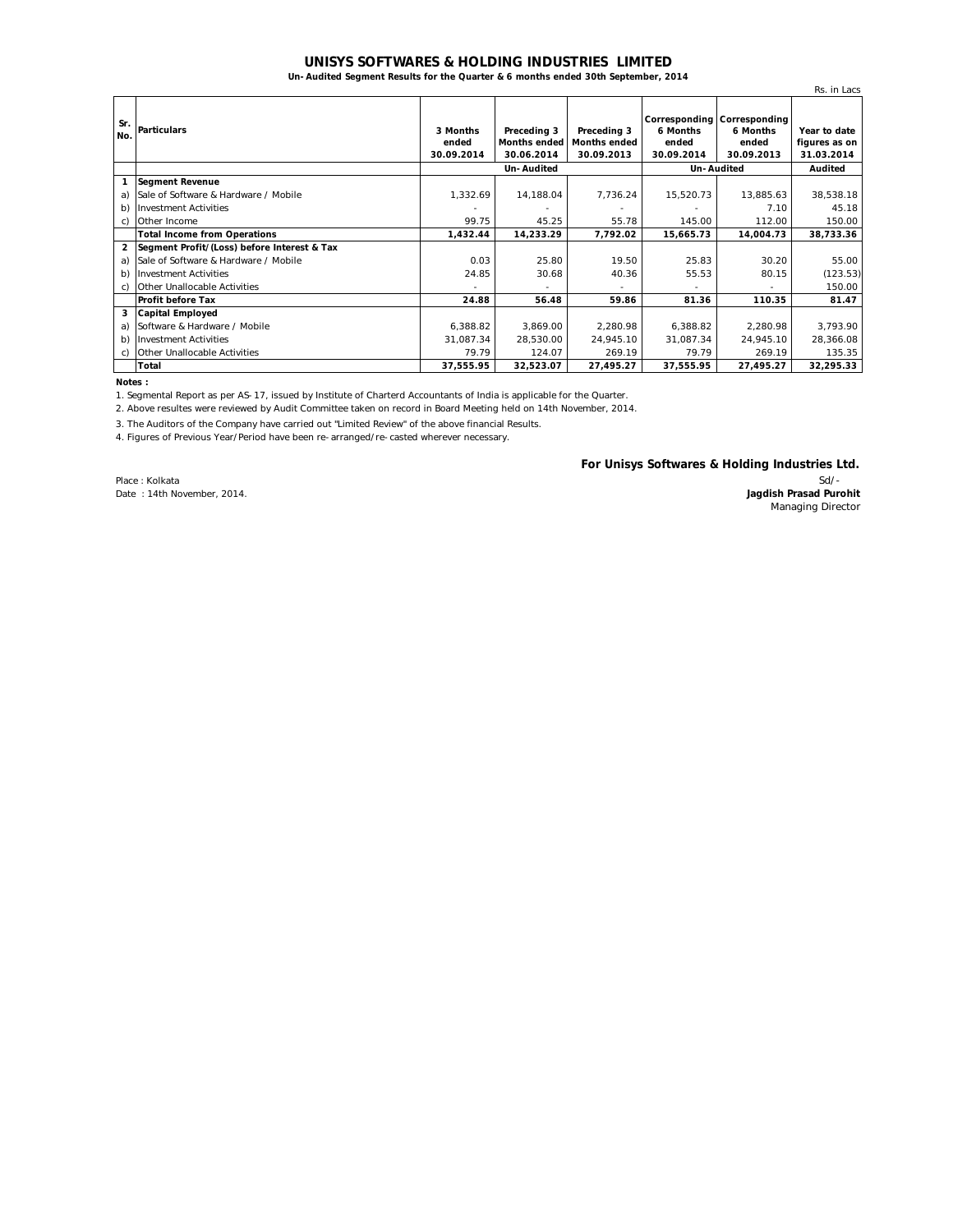## **UNISYS SOFTWARES & HOLDING INDUSTRIES LIMITED**

**Un-Audited Segment Results for the Quarter & 6 months ended 30th September, 2014**

|                |                                             |                                 |                                           |                                                  |                                 |                                                                | Rs. in Lacs                                 |
|----------------|---------------------------------------------|---------------------------------|-------------------------------------------|--------------------------------------------------|---------------------------------|----------------------------------------------------------------|---------------------------------------------|
| Sr.<br>No.     | <b>Particulars</b>                          | 3 Months<br>ended<br>30.09.2014 | Preceding 3<br>Months ended<br>30.06.2014 | Preceding 3<br><b>Months ended</b><br>30.09.2013 | 6 Months<br>ended<br>30.09.2014 | Corresponding Corresponding<br>6 Months<br>ended<br>30.09.2013 | Year to date<br>figures as on<br>31.03.2014 |
|                |                                             | Un-Audited                      |                                           |                                                  | Un-Audited                      |                                                                | Audited                                     |
| 1              | <b>Segment Revenue</b>                      |                                 |                                           |                                                  |                                 |                                                                |                                             |
| a)             | Sale of Software & Hardware / Mobile        | 1,332.69                        | 14,188.04                                 | 7,736.24                                         | 15,520.73                       | 13,885.63                                                      | 38,538.18                                   |
| b)             | <b>Investment Activities</b>                |                                 |                                           |                                                  | ٠                               | 7.10                                                           | 45.18                                       |
| C)             | Other Income                                | 99.75                           | 45.25                                     | 55.78                                            | 145.00                          | 112.00                                                         | 150.00                                      |
|                | <b>Total Income from Operations</b>         | 1,432.44                        | 14.233.29                                 | 7.792.02                                         | 15,665.73                       | 14,004.73                                                      | 38,733.36                                   |
| $\overline{2}$ | Segment Profit/(Loss) before Interest & Tax |                                 |                                           |                                                  |                                 |                                                                |                                             |
| a)             | Sale of Software & Hardware / Mobile        | 0.03                            | 25.80                                     | 19.50                                            | 25.83                           | 30.20                                                          | 55.00                                       |
| b)             | <b>Investment Activities</b>                | 24.85                           | 30.68                                     | 40.36                                            | 55.53                           | 80.15                                                          | (123.53)                                    |
| C)             | Other Unallocable Activities                |                                 |                                           |                                                  |                                 |                                                                | 150.00                                      |
|                | <b>Profit before Tax</b>                    | 24.88                           | 56.48                                     | 59.86                                            | 81.36                           | 110.35                                                         | 81.47                                       |
| 3              | <b>Capital Employed</b>                     |                                 |                                           |                                                  |                                 |                                                                |                                             |
| a)             | Software & Hardware / Mobile                | 6,388.82                        | 3,869.00                                  | 2,280.98                                         | 6,388.82                        | 2,280.98                                                       | 3,793.90                                    |
| b)             | <b>Investment Activities</b>                | 31,087.34                       | 28,530.00                                 | 24,945.10                                        | 31,087.34                       | 24,945.10                                                      | 28,366.08                                   |
| C)             | Other Unallocable Activities                | 79.79                           | 124.07                                    | 269.19                                           | 79.79                           | 269.19                                                         | 135.35                                      |
|                | <b>Total</b>                                | 37,555.95                       | 32,523.07                                 | 27,495.27                                        | 37,555.95                       | 27,495.27                                                      | 32,295.33                                   |

**Notes :**

1. Segmental Report as per AS-17, issued by Institute of Charterd Accountants of India is applicable for the Quarter.

2. Above resultes were reviewed by Audit Committee taken on record in Board Meeting held on 14th November, 2014.

3. The Auditors of the Company have carried out "Limited Review" of the above financial Results.

4. Figures of Previous Year/Period have been re-arranged/re-casted wherever necessary.

Place : Kolkata Date : 14th November, 2014. **For Unisys Softwares & Holding Industries Ltd.**

Sd/- **Jagdish Prasad Purohit** Managing Director